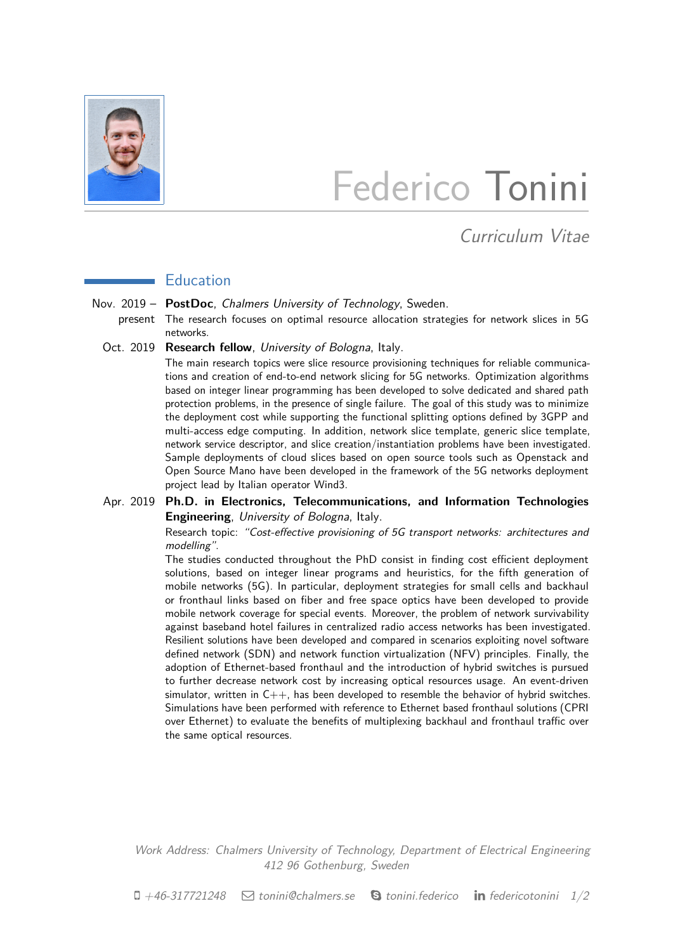

# Federico Tonini

# Curriculum Vitae

## **Education**

Nov. 2019 - PostDoc, Chalmers University of Technology, Sweden.

present The research focuses on optimal resource allocation strategies for network slices in 5G networks.

Oct. 2019 Research fellow, University of Bologna, Italy.

The main research topics were slice resource provisioning techniques for reliable communications and creation of end-to-end network slicing for 5G networks. Optimization algorithms based on integer linear programming has been developed to solve dedicated and shared path protection problems, in the presence of single failure. The goal of this study was to minimize the deployment cost while supporting the functional splitting options defined by 3GPP and multi-access edge computing. In addition, network slice template, generic slice template, network service descriptor, and slice creation/instantiation problems have been investigated. Sample deployments of cloud slices based on open source tools such as Openstack and Open Source Mano have been developed in the framework of the 5G networks deployment project lead by Italian operator Wind3.

#### Apr. 2019 **Ph.D. in Electronics, Telecommunications, and Information Technologies Engineering**, University of Bologna, Italy.

Research topic: "Cost-effective provisioning of 5G transport networks: architectures and modelling".

The studies conducted throughout the PhD consist in finding cost efficient deployment solutions, based on integer linear programs and heuristics, for the fifth generation of mobile networks (5G). In particular, deployment strategies for small cells and backhaul or fronthaul links based on fiber and free space optics have been developed to provide mobile network coverage for special events. Moreover, the problem of network survivability against baseband hotel failures in centralized radio access networks has been investigated. Resilient solutions have been developed and compared in scenarios exploiting novel software defined network (SDN) and network function virtualization (NFV) principles. Finally, the adoption of Ethernet-based fronthaul and the introduction of hybrid switches is pursued to further decrease network cost by increasing optical resources usage. An event-driven simulator, written in  $C_{++}$ , has been developed to resemble the behavior of hybrid switches. Simulations have been performed with reference to Ethernet based fronthaul solutions (CPRI over Ethernet) to evaluate the benefits of multiplexing backhaul and fronthaul traffic over the same optical resources.

Work Address: Chalmers University of Technology, Department of Electrical Engineering 412 96 Gothenburg, Sweden